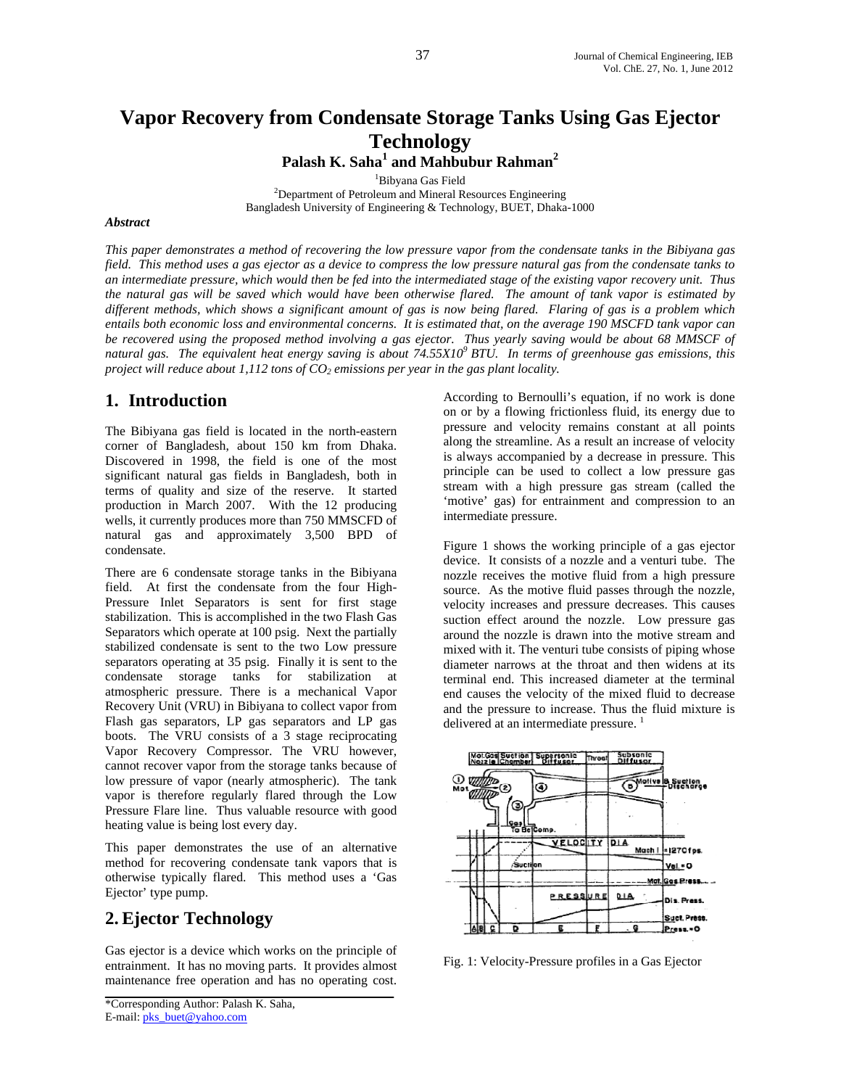# **Vapor Recovery from Condensate Storage Tanks Using Gas Ejector Technology**

Palash K. Saha<sup>1</sup> and Mahbubur Rahman<sup>2</sup>

<sup>1</sup>Bibyana Gas Field

<sup>1</sup>Bibyana Gas Field<br><sup>2</sup>Department of Petroleum and Mineral Resources Engineering Bangladesh University of Engineering & Technology, BUET, Dhaka-1000

#### *Abstract*

*This paper demonstrates a method of recovering the low pressure vapor from the condensate tanks in the Bibiyana gas field. This method uses a gas ejector as a device to compress the low pressure natural gas from the condensate tanks to an intermediate pressure, which would then be fed into the intermediated stage of the existing vapor recovery unit. Thus the natural gas will be saved which would have been otherwise flared. The amount of tank vapor is estimated by different methods, which shows a significant amount of gas is now being flared. Flaring of gas is a problem which entails both economic loss and environmental concerns. It is estimated that, on the average 190 MSCFD tank vapor can be recovered using the proposed method involving a gas ejector. Thus yearly saving would be about 68 MMSCF of natural gas. The equivalent heat energy saving is about 74.55X109 BTU. In terms of greenhouse gas emissions, this project will reduce about 1,112 tons of CO<sub>2</sub> emissions per year in the gas plant locality.* 

# **1. Introduction**

The Bibiyana gas field is located in the north-eastern corner of Bangladesh, about 150 km from Dhaka. Discovered in 1998, the field is one of the most significant natural gas fields in Bangladesh, both in terms of quality and size of the reserve. It started production in March 2007. With the 12 producing wells, it currently produces more than 750 MMSCFD of natural gas and approximately 3,500 BPD of condensate.

There are 6 condensate storage tanks in the Bibiyana field. At first the condensate from the four High-Pressure Inlet Separators is sent for first stage stabilization. This is accomplished in the two Flash Gas Separators which operate at 100 psig. Next the partially stabilized condensate is sent to the two Low pressure separators operating at 35 psig. Finally it is sent to the condensate storage tanks for stabilization at atmospheric pressure. There is a mechanical Vapor Recovery Unit (VRU) in Bibiyana to collect vapor from Flash gas separators, LP gas separators and LP gas boots. The VRU consists of a 3 stage reciprocating Vapor Recovery Compressor. The VRU however, cannot recover vapor from the storage tanks because of low pressure of vapor (nearly atmospheric). The tank vapor is therefore regularly flared through the Low Pressure Flare line. Thus valuable resource with good heating value is being lost every day.

This paper demonstrates the use of an alternative method for recovering condensate tank vapors that is otherwise typically flared. This method uses a 'Gas Ejector' type pump.

# **2. Ejector Technology**

Gas ejector is a device which works on the principle of entrainment. It has no moving parts. It provides almost maintenance free operation and has no operating cost.

According to Bernoulli's equation, if no work is done on or by a flowing frictionless fluid, its energy due to pressure and velocity remains constant at all points along the streamline. As a result an increase of velocity is always accompanied by a decrease in pressure. This principle can be used to collect a low pressure gas stream with a high pressure gas stream (called the 'motive' gas) for entrainment and compression to an intermediate pressure.

Figure 1 shows the working principle of a gas ejector device. It consists of a nozzle and a venturi tube. The nozzle receives the motive fluid from a high pressure source. As the motive fluid passes through the nozzle, velocity increases and pressure decreases. This causes suction effect around the nozzle. Low pressure gas around the nozzle is drawn into the motive stream and mixed with it. The venturi tube consists of piping whose diameter narrows at the throat and then widens at its terminal end. This increased diameter at the terminal end causes the velocity of the mixed fluid to decrease and the pressure to increase. Thus the fluid mixture is delivered at an intermediate pressure.<sup>1</sup>



Fig. 1: Velocity-Pressure profiles in a Gas Ejector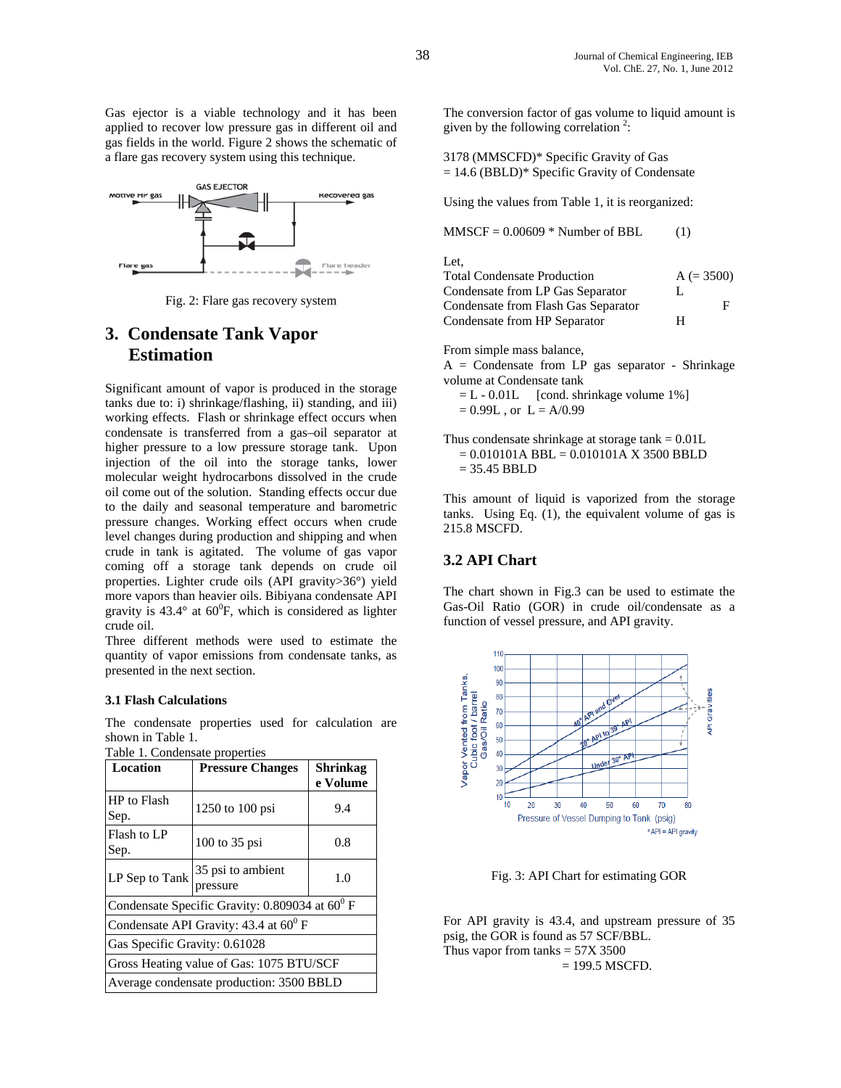Gas ejector is a viable technology and it has been applied to recover low pressure gas in different oil and gas fields in the world. Figure 2 shows the schematic of a flare gas recovery system using this technique.



Fig. 2: Flare gas recovery system

# **3. Condensate Tank Vapor Estimation**

Significant amount of vapor is produced in the storage tanks due to: i) shrinkage/flashing, ii) standing, and iii) working effects. Flash or shrinkage effect occurs when condensate is transferred from a gas–oil separator at higher pressure to a low pressure storage tank. Upon injection of the oil into the storage tanks, lower molecular weight hydrocarbons dissolved in the crude oil come out of the solution. Standing effects occur due to the daily and seasonal temperature and barometric pressure changes. Working effect occurs when crude level changes during production and shipping and when crude in tank is agitated. The volume of gas vapor coming off a storage tank depends on crude oil properties. Lighter crude oils (API gravity>36°) yield more vapors than heavier oils. Bibiyana condensate API gravity is  $43.4^{\circ}$  at  $60^{\circ}$ F, which is considered as lighter crude oil.

Three different methods were used to estimate the quantity of vapor emissions from condensate tanks, as presented in the next section.

#### **3.1 Flash Calculations**

The condensate properties used for calculation are shown in Table 1.

| Table 1. Condensate properties |  |  |
|--------------------------------|--|--|
|                                |  |  |

| <b>Location</b>                                     | <b>Pressure Changes</b>       | Shrinkag<br>e Volume |
|-----------------------------------------------------|-------------------------------|----------------------|
| HP to Flash<br>Sep.                                 | 1250 to 100 psi               | 9.4                  |
| Flash to LP<br>Sep.                                 | 100 to 35 psi                 | 0.8                  |
| LP Sep to Tank                                      | 35 psi to ambient<br>pressure | 1.0                  |
| Condensate Specific Gravity: $0.809034$ at $60^0$ F |                               |                      |
| Condensate API Gravity: 43.4 at $60^{\circ}$ F      |                               |                      |
| Gas Specific Gravity: 0.61028                       |                               |                      |
| Gross Heating value of Gas: 1075 BTU/SCF            |                               |                      |
| Average condensate production: 3500 BBLD            |                               |                      |

The conversion factor of gas volume to liquid amount is given by the following correlation<sup>2</sup>:

3178 (MMSCFD)\* Specific Gravity of Gas = 14.6 (BBLD)\* Specific Gravity of Condensate

Using the values from Table 1, it is reorganized:

 $MMSCF = 0.00609 * Number of BBL$  (1)

Let,

| <b>Total Condensate Production</b>  |   | $A (= 3500)$ |
|-------------------------------------|---|--------------|
| Condensate from LP Gas Separator    | L |              |
| Condensate from Flash Gas Separator |   | F            |
| Condensate from HP Separator        | н |              |

From simple mass balance,

 $A =$  Condensate from LP gas separator - Shrinkage volume at Condensate tank

 $= L - 0.01L$  [cond. shrinkage volume 1%]  $= 0.99L$ , or  $L = A/0.99$ 

Thus condensate shrinkage at storage tank  $= 0.01L$  $= 0.010101A$  BBL  $= 0.010101A$  X 3500 BBLD  $= 35.45$  BBLD

This amount of liquid is vaporized from the storage tanks. Using Eq. (1), the equivalent volume of gas is 215.8 MSCFD.

### **3.2 API Chart**

The chart shown in Fig.3 can be used to estimate the Gas-Oil Ratio (GOR) in crude oil/condensate as a function of vessel pressure, and API gravity.



Fig. 3: API Chart for estimating GOR

For API gravity is 43.4, and upstream pressure of 35 psig, the GOR is found as 57 SCF/BBL. Thus vapor from tanks  $= 57X 3500$  $= 199.5$  MSCFD.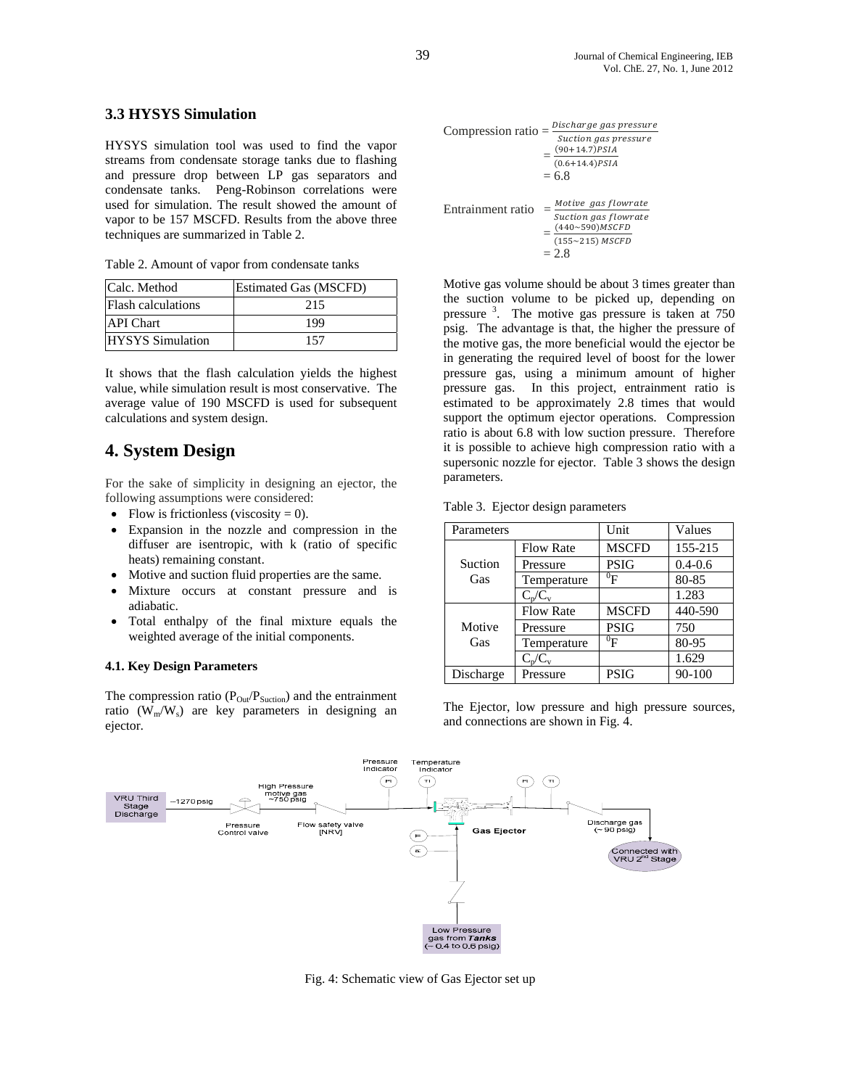### **3.3 HYSYS Simulation**

HYSYS simulation tool was used to find the vapor streams from condensate storage tanks due to flashing and pressure drop between LP gas separators and condensate tanks. Peng-Robinson correlations were used for simulation. The result showed the amount of vapor to be 157 MSCFD. Results from the above three techniques are summarized in Table 2.

Table 2. Amount of vapor from condensate tanks

| Calc. Method              | <b>Estimated Gas (MSCFD)</b> |
|---------------------------|------------------------------|
| <b>Flash calculations</b> | 215                          |
| <b>API</b> Chart          | 199                          |
| <b>HYSYS</b> Simulation   | 157                          |

It shows that the flash calculation yields the highest value, while simulation result is most conservative. The average value of 190 MSCFD is used for subsequent calculations and system design.

# **4. System Design**

For the sake of simplicity in designing an ejector, the following assumptions were considered:

- Flow is frictionless (viscosity  $= 0$ ).
- Expansion in the nozzle and compression in the diffuser are isentropic, with k (ratio of specific heats) remaining constant.
- Motive and suction fluid properties are the same.
- Mixture occurs at constant pressure and is adiabatic.
- Total enthalpy of the final mixture equals the weighted average of the initial components.

#### **4.1. Key Design Parameters**

The compression ratio  $(P<sub>Out</sub>/P<sub>Section</sub>)$  and the entrainment ratio  $(W_m/W_s)$  are key parameters in designing an ejector.

| Compression ratio $=$ |  | Discharge gas pressure                          |  |
|-----------------------|--|-------------------------------------------------|--|
|                       |  | Suction gas pressure<br>$(90+14.7)$ <i>PSIA</i> |  |
|                       |  | $(0.6 + 14.4)$ PSIA                             |  |
|                       |  | $= 6.8$                                         |  |
| Entrainment ratio     |  | Motive gas flowrate                             |  |
|                       |  | Suction gas flowrate<br>$(440{\sim}590)$ MSCFD  |  |
|                       |  | $(155~215)$ MSCFD<br>$-28$                      |  |

Motive gas volume should be about 3 times greater than the suction volume to be picked up, depending on pressure <sup>3</sup>. The motive gas pressure is taken at 750 psig. The advantage is that, the higher the pressure of the motive gas, the more beneficial would the ejector be in generating the required level of boost for the lower pressure gas, using a minimum amount of higher pressure gas. In this project, entrainment ratio is estimated to be approximately 2.8 times that would support the optimum ejector operations. Compression ratio is about 6.8 with low suction pressure. Therefore it is possible to achieve high compression ratio with a supersonic nozzle for ejector. Table 3 shows the design parameters.

| Table 3. Ejector design parameters |  |  |  |
|------------------------------------|--|--|--|
|------------------------------------|--|--|--|

| Parameters |                  | Unit           | Values      |
|------------|------------------|----------------|-------------|
|            | <b>Flow Rate</b> | <b>MSCFD</b>   | 155-215     |
| Suction    | Pressure         | <b>PSIG</b>    | $0.4 - 0.6$ |
| Gas        | Temperature      | $\mathrm{^0F}$ | 80-85       |
|            | $C_p/C_v$        |                | 1.283       |
|            | <b>Flow Rate</b> | <b>MSCFD</b>   | 440-590     |
| Motive     | Pressure         | <b>PSIG</b>    | 750         |
| Gas        | Temperature      | $^0\mathrm{F}$ | 80-95       |
|            | $C_p/C_v$        |                | 1.629       |
| Discharge  | Pressure         | <b>PSIG</b>    | 90-100      |

The Ejector, low pressure and high pressure sources, and connections are shown in Fig. 4.



Fig. 4: Schematic view of Gas Ejector set up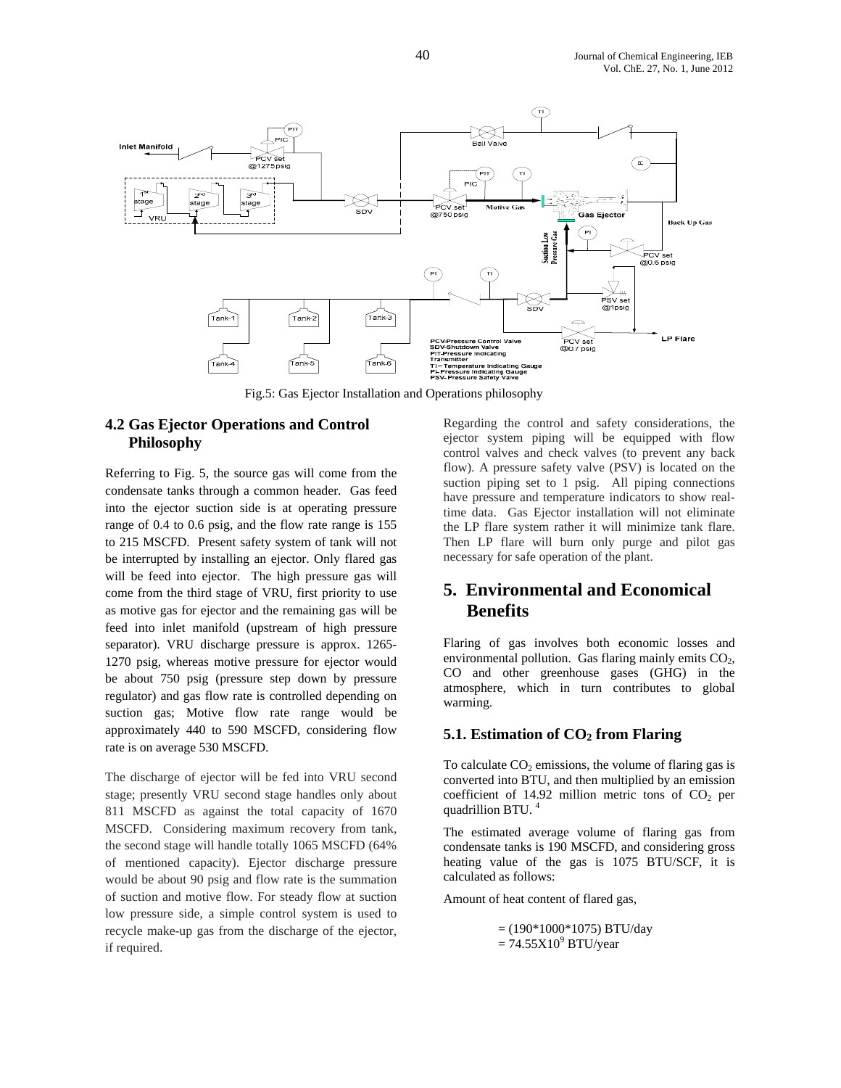

### **4.2 Gas Ejector Operations and Control Philosophy**

Referring to Fig. 5, the source gas will come from the condensate tanks through a common header. Gas feed into the ejector suction side is at operating pressure range of 0.4 to 0.6 psig, and the flow rate range is 155 to 215 MSCFD. Present safety system of tank will not be interrupted by installing an ejector. Only flared gas will be feed into ejector. The high pressure gas will come from the third stage of VRU, first priority to use as motive gas for ejector and the remaining gas will be feed into inlet manifold (upstream of high pressure separator). VRU discharge pressure is approx. 1265- 1270 psig, whereas motive pressure for ejector would be about 750 psig (pressure step down by pressure regulator) and gas flow rate is controlled depending on suction gas; Motive flow rate range would be approximately 440 to 590 MSCFD, considering flow rate is on average 530 MSCFD.

The discharge of ejector will be fed into VRU second stage; presently VRU second stage handles only about 811 MSCFD as against the total capacity of 1670 MSCFD. Considering maximum recovery from tank, the second stage will handle totally 1065 MSCFD (64% of mentioned capacity). Ejector discharge pressure would be about 90 psig and flow rate is the summation of suction and motive flow. For steady flow at suction low pressure side, a simple control system is used to recycle make-up gas from the discharge of the ejector, if required.

Regarding the control and safety considerations, the ejector system piping will be equipped with flow control valves and check valves (to prevent any back flow). A pressure safety valve (PSV) is located on the suction piping set to 1 psig. All piping connections have pressure and temperature indicators to show realtime data. Gas Ejector installation will not eliminate the LP flare system rather it will minimize tank flare. Then LP flare will burn only purge and pilot gas necessary for safe operation of the plant.

# **5. Environmental and Economical Benefits**

Flaring of gas involves both economic losses and environmental pollution. Gas flaring mainly emits CO<sub>2</sub>, CO and other greenhouse gases (GHG) in the atmosphere, which in turn contributes to global warming.

### **5.1. Estimation of CO<sub>2</sub> from Flaring**

To calculate  $CO<sub>2</sub>$  emissions, the volume of flaring gas is converted into BTU, and then multiplied by an emission coefficient of 14.92 million metric tons of  $CO<sub>2</sub>$  per quadrillion BTU.<sup>4</sup>

The estimated average volume of flaring gas from condensate tanks is 190 MSCFD, and considering gross heating value of the gas is 1075 BTU/SCF, it is calculated as follows:

Amount of heat content of flared gas,

 $=(190*1000*1075)$  BTU/day  $= 74.55 \times 10^9$  BTU/year